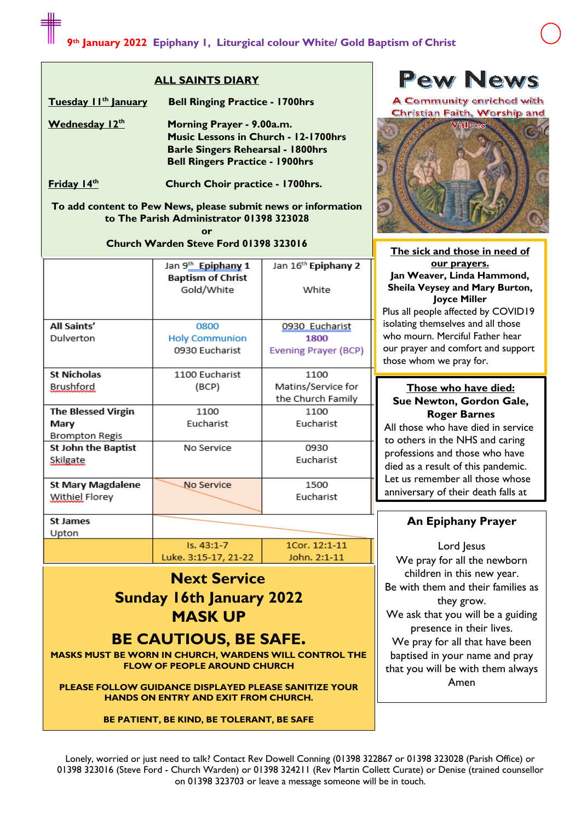#### **ALL SAINTS DIARY**

**Tuesday 11th January Bell Ringing Practice - 1700hrs**

**Wednesday 12th Morning Prayer - 9.00a.m. Music Lessons in Church - 12-1700hrs Barle Singers Rehearsal - 1800hrs Bell Ringers Practice - 1900hrs**

**Friday 14th Church Choir practice - 1700hrs.**

**To add content to Pew News, please submit news or information to The Parish Administrator 01398 323028**

> **or Church Warden Steve Ford 01398 323016**

|                            | Jan 9th Epiphany 1<br><b>Baptism of Christ</b> | Jan 16 <sup>th</sup> Epiphany 2 |
|----------------------------|------------------------------------------------|---------------------------------|
|                            | Gold/White                                     | White                           |
| All Saints'                | 0800                                           | 0930 Eucharist                  |
| Dulverton                  | <b>Holy Communion</b>                          | 1800                            |
|                            | 0930 Eucharist                                 | Evening Prayer (BCP)            |
| <b>St Nicholas</b>         | 1100 Eucharist                                 | 1100                            |
| <b>Brushford</b>           | (BCP)                                          | Matins/Service for              |
|                            |                                                | the Church Family               |
| <b>The Blessed Virgin</b>  | 1100                                           | 1100                            |
| Mary                       | Eucharist                                      | Eucharist                       |
| Brompton Regis             |                                                |                                 |
| <b>St John the Baptist</b> | No Service                                     | 0930                            |
| Skilgate                   |                                                | Eucharist                       |
| St Mary Magdalene          | No Service                                     | 1500                            |
| <b>Withiel Florey</b>      |                                                | Eucharist                       |
| St James                   |                                                |                                 |

it James Upton

1Cor. 12:1-11 Luke. 3:15-17, 21-22 John. 2:1-11

# **Next Service Sunday 16th January 2022 MASK UP**

 $Is. 43:1-7$ 

## **BE CAUTIOUS, BE SAFE.**

**MASKS MUST BE WORN IN CHURCH, WARDENS WILL CONTROL THE FLOW OF PEOPLE AROUND CHURCH**

**PLEASE FOLLOW GUIDANCE DISPLAYED PLEASE SANITIZE YOUR HANDS ON ENTRY AND EXIT FROM CHURCH.**

#### **BE PATIENT, BE KIND, BE TOLERANT, BE SAFE**

**Pew News** 

A Community enriched with Christian Faith, Worship and



**The sick and those in need of our prayers. Jan Weaver, Linda Hammond, Sheila Veysey and Mary Burton, Joyce Miller**

Plus all people affected by COVID19 isolating themselves and all those who mourn. Merciful Father hear our prayer and comfort and support those whom we pray for.

#### **Those who have died: Sue Newton, Gordon Gale, Roger Barnes**

All those who have died in service to others in the NHS and caring professions and those who have died as a result of this pandemic. Let us remember all those whose anniversary of their death falls at

## **An Epiphany Prayer**

this time.

Lord lesus We pray for all the newborn children in this new year. Be with them and their families as they grow. We ask that you will be a guiding presence in their lives. We pray for all that have been baptised in your name and pray that you will be with them always Amen

Lonely, worried or just need to talk? Contact Rev Dowell Conning (01398 322867 or 01398 323028 (Parish Office) or 01398 323016 (Steve Ford - Church Warden) or 01398 324211 (Rev Martin Collett Curate) or Denise (trained counsellor on 01398 323703 or leave a message someone will be in touch.